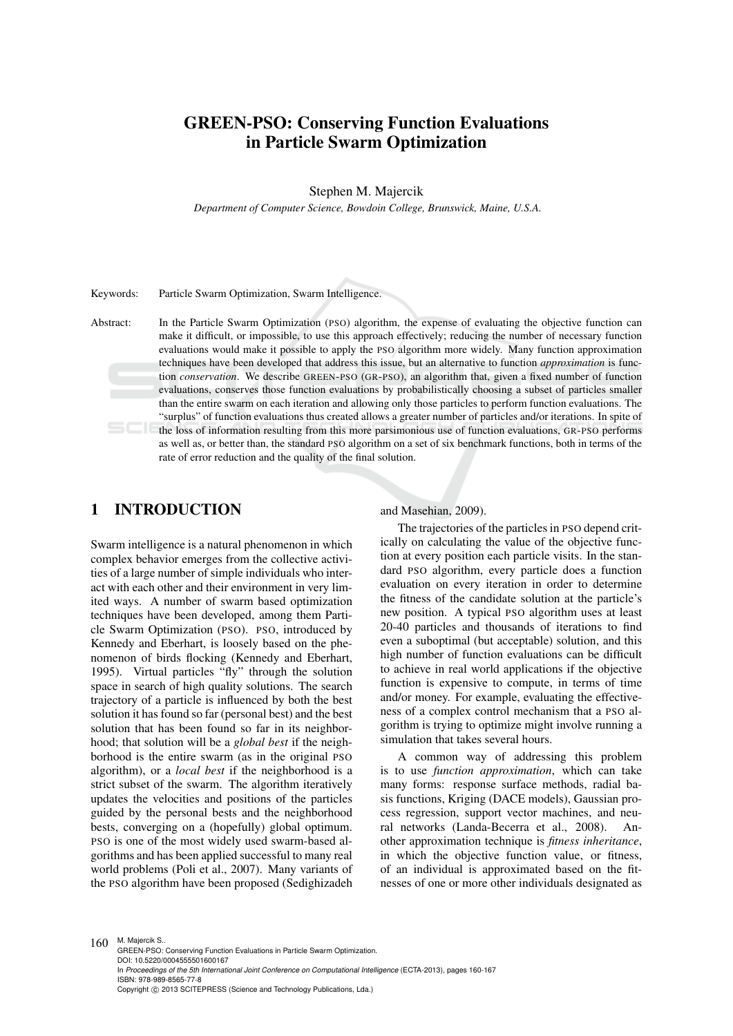## GREEN-PSO: Conserving Function Evaluations in Particle Swarm Optimization

Stephen M. Majercik

*Department of Computer Science, Bowdoin College, Brunswick, Maine, U.S.A.*

Keywords: Particle Swarm Optimization, Swarm Intelligence.

Abstract: In the Particle Swarm Optimization (PSO) algorithm, the expense of evaluating the objective function can make it difficult, or impossible, to use this approach effectively; reducing the number of necessary function evaluations would make it possible to apply the PSO algorithm more widely. Many function approximation techniques have been developed that address this issue, but an alternative to function *approximation* is function *conservation*. We describe GREEN-PSO (GR-PSO), an algorithm that, given a fixed number of function evaluations, conserves those function evaluations by probabilistically choosing a subset of particles smaller than the entire swarm on each iteration and allowing only those particles to perform function evaluations. The "surplus" of function evaluations thus created allows a greater number of particles and/or iterations. In spite of the loss of information resulting from this more parsimonious use of function evaluations, GR-PSO performs as well as, or better than, the standard PSO algorithm on a set of six benchmark functions, both in terms of the rate of error reduction and the quality of the final solution.

## 1 INTRODUCTION

Swarm intelligence is a natural phenomenon in which complex behavior emerges from the collective activities of a large number of simple individuals who interact with each other and their environment in very limited ways. A number of swarm based optimization techniques have been developed, among them Particle Swarm Optimization (PSO). PSO, introduced by Kennedy and Eberhart, is loosely based on the phenomenon of birds flocking (Kennedy and Eberhart, 1995). Virtual particles "fly" through the solution space in search of high quality solutions. The search trajectory of a particle is influenced by both the best solution it has found so far (personal best) and the best solution that has been found so far in its neighborhood; that solution will be a *global best* if the neighborhood is the entire swarm (as in the original PSO algorithm), or a *local best* if the neighborhood is a strict subset of the swarm. The algorithm iteratively updates the velocities and positions of the particles guided by the personal bests and the neighborhood bests, converging on a (hopefully) global optimum. PSO is one of the most widely used swarm-based algorithms and has been applied successful to many real world problems (Poli et al., 2007). Many variants of the PSO algorithm have been proposed (Sedighizadeh and Masehian, 2009).

The trajectories of the particles in PSO depend critically on calculating the value of the objective function at every position each particle visits. In the standard PSO algorithm, every particle does a function evaluation on every iteration in order to determine the fitness of the candidate solution at the particle's new position. A typical PSO algorithm uses at least 20-40 particles and thousands of iterations to find even a suboptimal (but acceptable) solution, and this high number of function evaluations can be difficult to achieve in real world applications if the objective function is expensive to compute, in terms of time and/or money. For example, evaluating the effectiveness of a complex control mechanism that a PSO algorithm is trying to optimize might involve running a simulation that takes several hours.

A common way of addressing this problem is to use *function approximation*, which can take many forms: response surface methods, radial basis functions, Kriging (DACE models), Gaussian process regression, support vector machines, and neural networks (Landa-Becerra et al., 2008). Another approximation technique is *fitness inheritance*, in which the objective function value, or fitness, of an individual is approximated based on the fitnesses of one or more other individuals designated as

160 M. Majercik S. GREEN-PSO: Conserving Function Evaluations in Particle Swarm Optimization. DOI: 10.5220/0004555501600167 In *Proceedings of the 5th International Joint Conference on Computational Intelligence* (ECTA-2013), pages 160-167 ISBN: 978-989-8565-77-8 Copyright (C) 2013 SCITEPRESS (Science and Technology Publications, Lda.)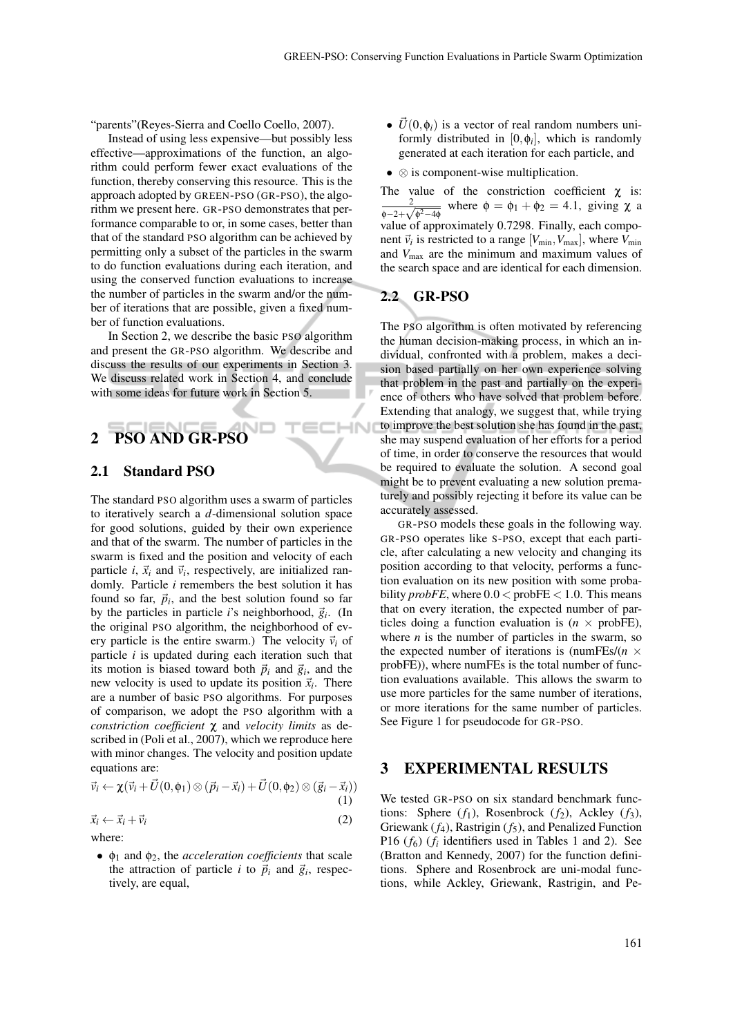"parents"(Reyes-Sierra and Coello Coello, 2007).

Instead of using less expensive—but possibly less effective—approximations of the function, an algorithm could perform fewer exact evaluations of the function, thereby conserving this resource. This is the approach adopted by GREEN-PSO (GR-PSO), the algorithm we present here. GR-PSO demonstrates that performance comparable to or, in some cases, better than that of the standard PSO algorithm can be achieved by permitting only a subset of the particles in the swarm to do function evaluations during each iteration, and using the conserved function evaluations to increase the number of particles in the swarm and/or the number of iterations that are possible, given a fixed number of function evaluations.

In Section 2, we describe the basic PSO algorithm and present the GR-PSO algorithm. We describe and discuss the results of our experiments in Section 3. We discuss related work in Section 4, and conclude with some ideas for future work in Section 5.

# 2 PSO AND GR-PSO

#### 2.1 Standard PSO

The standard PSO algorithm uses a swarm of particles to iteratively search a *d*-dimensional solution space for good solutions, guided by their own experience and that of the swarm. The number of particles in the swarm is fixed and the position and velocity of each particle *i*,  $\vec{x}_i$  and  $\vec{v}_i$ , respectively, are initialized randomly. Particle *i* remembers the best solution it has found so far,  $\vec{p}_i$ , and the best solution found so far by the particles in particle *i*'s neighborhood,  $\vec{g}_i$ . (In the original PSO algorithm, the neighborhood of every particle is the entire swarm.) The velocity  $\vec{v}_i$  of particle *i* is updated during each iteration such that its motion is biased toward both  $\vec{p}_i$  and  $\vec{g}_i$ , and the new velocity is used to update its position  $\vec{x}_i$ . There are a number of basic PSO algorithms. For purposes of comparison, we adopt the PSO algorithm with a *constriction coefficient* χ and *velocity limits* as described in (Poli et al., 2007), which we reproduce here with minor changes. The velocity and position update equations are:

$$
\vec{v}_i \leftarrow \chi(\vec{v}_i + \vec{U}(0, \phi_1) \otimes (\vec{p}_i - \vec{x}_i) + \vec{U}(0, \phi_2) \otimes (\vec{g}_i - \vec{x}_i))
$$
\n
$$
\vec{x}_i \leftarrow \vec{x}_i + \vec{v}_i
$$
\n(2)

where:

• φ<sup>1</sup> and φ2, the *acceleration coefficients* that scale the attraction of particle *i* to  $\vec{p}_i$  and  $\vec{g}_i$ , respectively, are equal,

- $\vec{U}(0,\phi_i)$  is a vector of real random numbers uniformly distributed in  $[0, \phi_i]$ , which is randomly generated at each iteration for each particle, and
- ⊗ is component-wise multiplication.

The value of the constriction coefficient  $\chi$  is: 2  $\frac{2}{\phi-2+\sqrt{\phi^2-4\phi}}$  where  $\phi = \phi_1 + \phi_2 = 4.1$ , giving  $\chi$  a value of approximately 0.7298. Finally, each component  $\vec{v}_i$  is restricted to a range  $[V_{\text{min}}, V_{\text{max}}]$ , where  $V_{\text{min}}$ and  $V_{\text{max}}$  are the minimum and maximum values of the search space and are identical for each dimension.

#### 2.2 GR-PSO

1N

The PSO algorithm is often motivated by referencing the human decision-making process, in which an individual, confronted with a problem, makes a decision based partially on her own experience solving that problem in the past and partially on the experience of others who have solved that problem before. Extending that analogy, we suggest that, while trying to improve the best solution she has found in the past, she may suspend evaluation of her efforts for a period of time, in order to conserve the resources that would be required to evaluate the solution. A second goal might be to prevent evaluating a new solution prematurely and possibly rejecting it before its value can be accurately assessed.

GR-PSO models these goals in the following way. GR-PSO operates like S-PSO, except that each particle, after calculating a new velocity and changing its position according to that velocity, performs a function evaluation on its new position with some probability  $\text{probFE}$ , where  $0.0 < \text{probFE} < 1.0$ . This means that on every iteration, the expected number of particles doing a function evaluation is  $(n \times probFE)$ , where  $n$  is the number of particles in the swarm, so the expected number of iterations is (numFEs/( $n \times$ probFE)), where numFEs is the total number of function evaluations available. This allows the swarm to use more particles for the same number of iterations, or more iterations for the same number of particles. See Figure 1 for pseudocode for GR-PSO.

#### 3 EXPERIMENTAL RESULTS

We tested GR-PSO on six standard benchmark functions: Sphere  $(f_1)$ , Rosenbrock  $(f_2)$ , Ackley  $(f_3)$ , Griewank (*f*4), Rastrigin (*f*5), and Penalized Function P16  $(f_6)$   $(f_i$  identifiers used in Tables 1 and 2). See (Bratton and Kennedy, 2007) for the function definitions. Sphere and Rosenbrock are uni-modal functions, while Ackley, Griewank, Rastrigin, and Pe-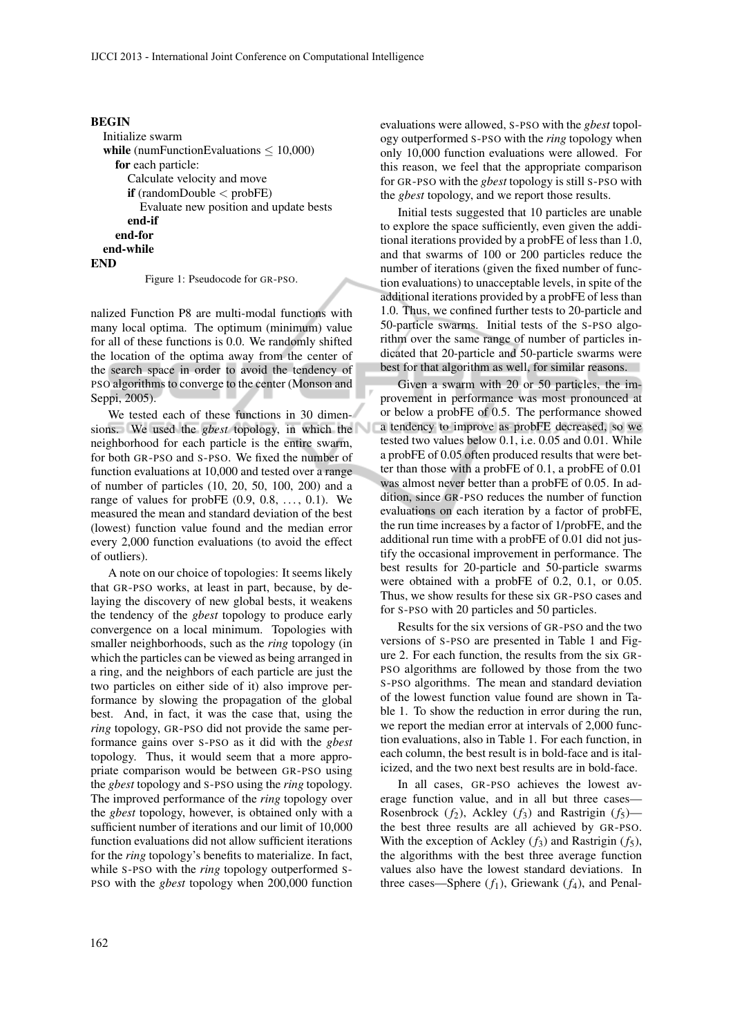```
BEGIN
  Initialize swarm
  while (numFunctionEvaluations \leq 10,000)
    for each particle:
       Calculate velocity and move
       if (randomDouble \lt probFE)
         Evaluate new position and update bests
       end-if
    end-for
  end-while
END
          Figure 1: Pseudocode for GR-PSO.
```
nalized Function P8 are multi-modal functions with many local optima. The optimum (minimum) value for all of these functions is 0.0. We randomly shifted the location of the optima away from the center of the search space in order to avoid the tendency of PSO algorithms to converge to the center (Monson and Seppi, 2005).

We tested each of these functions in 30 dimensions. We used the *gbest* topology, in which the neighborhood for each particle is the entire swarm, for both GR-PSO and S-PSO. We fixed the number of function evaluations at 10,000 and tested over a range of number of particles (10, 20, 50, 100, 200) and a range of values for probFE  $(0.9, 0.8, \ldots, 0.1)$ . We measured the mean and standard deviation of the best (lowest) function value found and the median error every 2,000 function evaluations (to avoid the effect of outliers).

A note on our choice of topologies: It seems likely that GR-PSO works, at least in part, because, by delaying the discovery of new global bests, it weakens the tendency of the *gbest* topology to produce early convergence on a local minimum. Topologies with smaller neighborhoods, such as the *ring* topology (in which the particles can be viewed as being arranged in a ring, and the neighbors of each particle are just the two particles on either side of it) also improve performance by slowing the propagation of the global best. And, in fact, it was the case that, using the *ring* topology, GR-PSO did not provide the same performance gains over S-PSO as it did with the *gbest* topology. Thus, it would seem that a more appropriate comparison would be between GR-PSO using the *gbest* topology and S-PSO using the *ring* topology. The improved performance of the *ring* topology over the *gbest* topology, however, is obtained only with a sufficient number of iterations and our limit of 10,000 function evaluations did not allow sufficient iterations for the *ring* topology's benefits to materialize. In fact, while S-PSO with the *ring* topology outperformed S-PSO with the *gbest* topology when 200,000 function

evaluations were allowed, S-PSO with the *gbest* topology outperformed S-PSO with the *ring* topology when only 10,000 function evaluations were allowed. For this reason, we feel that the appropriate comparison for GR-PSO with the *gbest* topology is still S-PSO with the *gbest* topology, and we report those results.

Initial tests suggested that 10 particles are unable to explore the space sufficiently, even given the additional iterations provided by a probFE of less than 1.0, and that swarms of 100 or 200 particles reduce the number of iterations (given the fixed number of function evaluations) to unacceptable levels, in spite of the additional iterations provided by a probFE of less than 1.0. Thus, we confined further tests to 20-particle and 50-particle swarms. Initial tests of the S-PSO algorithm over the same range of number of particles indicated that 20-particle and 50-particle swarms were best for that algorithm as well, for similar reasons.

Given a swarm with 20 or 50 particles, the improvement in performance was most pronounced at or below a probFE of 0.5. The performance showed a tendency to improve as probFE decreased, so we tested two values below 0.1, i.e. 0.05 and 0.01. While a probFE of 0.05 often produced results that were better than those with a probFE of 0.1, a probFE of 0.01 was almost never better than a probFE of 0.05. In addition, since GR-PSO reduces the number of function evaluations on each iteration by a factor of probFE, the run time increases by a factor of 1/probFE, and the additional run time with a probFE of 0.01 did not justify the occasional improvement in performance. The best results for 20-particle and 50-particle swarms were obtained with a probFE of 0.2, 0.1, or 0.05. Thus, we show results for these six GR-PSO cases and for S-PSO with 20 particles and 50 particles.

Results for the six versions of GR-PSO and the two versions of S-PSO are presented in Table 1 and Figure 2. For each function, the results from the six GR-PSO algorithms are followed by those from the two S-PSO algorithms. The mean and standard deviation of the lowest function value found are shown in Table 1. To show the reduction in error during the run, we report the median error at intervals of 2,000 function evaluations, also in Table 1. For each function, in each column, the best result is in bold-face and is italicized, and the two next best results are in bold-face.

In all cases, GR-PSO achieves the lowest average function value, and in all but three cases— Rosenbrock  $(f_2)$ , Ackley  $(f_3)$  and Rastrigin  $(f_5)$  the best three results are all achieved by GR-PSO. With the exception of Ackley  $(f_3)$  and Rastrigin  $(f_5)$ , the algorithms with the best three average function values also have the lowest standard deviations. In three cases—Sphere  $(f_1)$ , Griewank  $(f_4)$ , and Penal-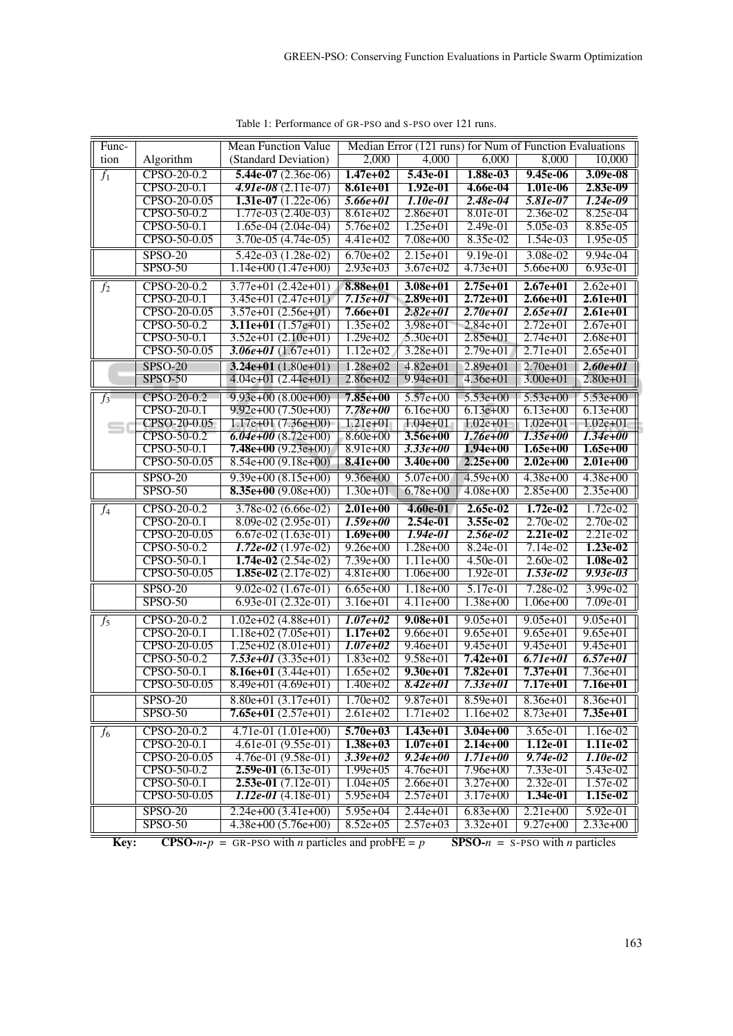| Func-            |                | <b>Mean Function Value</b> | Median Error (121 runs) for Num of Function Evaluations |              |              |              |              |
|------------------|----------------|----------------------------|---------------------------------------------------------|--------------|--------------|--------------|--------------|
| tion             | Algorithm      | (Standard Deviation)       | 2,000                                                   | 4,000        | 6,000        | 8,000        | 10,000       |
| $\overline{f_1}$ | CPSO-20-0.2    | 5.44e-07 $(2.36e-06)$      | $1.47e+02$                                              | 5.43e-01     | $1.88e-03$   | $9.45e-06$   | 3.09e-08     |
|                  | CPSO-20-0.1    | $4.91e-08(2.11e-07)$       | $8.61e+01$                                              | $1.92e-01$   | 4.66e-04     | 1.01e-06     | 2.83e-09     |
|                  | CPSO-20-0.05   | 1.31e-07 $(1.22e-06)$      | $5.66e + 01$                                            | 1.10e-01     | $2.48e-04$   | 5.81e-07     | $1.24e-09$   |
|                  | CPSO-50-0.2    | $1.77e-03(2.40e-03)$       | $8.61e + 02$                                            | $2.86e + 01$ | 8.01e-01     | 2.36e-02     | 8.25e-04     |
|                  | CPSO-50-0.1    | $1.65e-04(2.04e-04)$       | $5.76e + 02$                                            | $1.25e+01$   | 2.49e-01     | $5.05e-03$   | 8.85e-05     |
|                  | CPSO-50-0.05   | $3.70e-05(4.74e-05)$       | $4.41e+02$                                              | $7.08e+00$   | 8.35e-02     | $1.54e-03$   | 1.95e-05     |
|                  | SPSO-20        | $5.42e-03(1.28e-02)$       | $6.70e+02$                                              | $2.15e+01$   | $9.19e-01$   | $3.08e-02$   | $9.94e-04$   |
|                  | <b>SPSO-50</b> | $1.14e+00(1.47e+00)$       | $2.93e+03$                                              | $3.67e + 02$ | $4.73e+01$   | $5.66e + 00$ | 6.93e-01     |
| $\overline{f_2}$ | CPSO-20-0.2    | $3.77e+01(2.42e+01)$       | 8.88e+01                                                | $3.08e + 01$ | $2.75e+01$   | $2.67e + 01$ | $2.62e + 01$ |
|                  | CPSO-20-0.1    | $3.45e+01(2.47e+01)$       | $7.15e + 01$                                            | $2.89e+01$   | $2.72e+01$   | 2.66e+01     | $2.61e + 01$ |
|                  | CPSO-20-0.05   | $3.57e+01$ $(2.56e+01)$    | $7.66e + 01$                                            | $2.82e + 01$ | $2.70e + 01$ | $2.65e+01$   | $2.61e+01$   |
|                  | CPSO-50-0.2    | $3.11e+01$ (1.57e+01)      | $1.35e+02$                                              | $3.98e + 01$ | $2.84e + 01$ | $2.72e+01$   | $2.67e + 01$ |
|                  | CPSO-50-0.1    | $3.52e+01(2.10e+01)$       | $1.29e+02$                                              | $5.30e + 01$ | $2.85e + 01$ | $2.74e + 01$ | $2.68e+01$   |
|                  | CPSO-50-0.05   | $3.06e+01$ (1.67e+01)      | $1.12e+02$                                              | $3.28e + 01$ | $2.79e + 01$ | $2.71e+01$   | $2.65e+01$   |
|                  | <b>SPSO-20</b> | $3.24e+01$ (1.80e+01)      | $1.28e+02$                                              | $4.82e + 01$ | $2.89e + 01$ | $2.70e + 01$ | $2.60e + 01$ |
|                  | <b>SPSO-50</b> | $4.04e+01(2.44e+01)$       | $2.86e + 02$                                            | $9.94e + 01$ | $4.36e + 01$ | $3.00e + 01$ | $2.80e + 01$ |
| $f_3$            | CPSO-20-0.2    | $9.93e+00(8.00e+00)$       | 7.85e+00                                                | $5.57e+00$   | $5.53e+00$   | $5.53e+00$   | $5.53e+00$   |
|                  | CPSO-20-0.1    | $9.92e+00(7.50e+00)$       | $7.78e + 00$                                            | $6.16e + 00$ | $6.13e+00$   | $6.13e+00$   | $6.13e+00$   |
|                  | CPSO-20-0.05   | $1.17e+01(7.36e+00)$       | $1.21e+01$                                              | $1.04e + 01$ | $1.02e + 01$ | $1.02e + 01$ | $1.02e + 01$ |
|                  | CPSO-50-0.2    | $6.04e+00$ $(8.72e+00)$    | $8.60e + 00$                                            | 3.56e+00     | $1.76e + 00$ | $1.35e + 00$ | $1.34e + 00$ |
|                  | CPSO-50-0.1    | $7.48e+00(9.23e+00)$       | $8.91e+00$                                              | $3.33e + 00$ | $1.94e+00$   | $1.65e+00$   | $1.65e+00$   |
|                  | CPSO-50-0.05   | $8.54e+00(9.18e+00)$       | 8.41e+00                                                | $3.40e + 00$ | $2.25e+00$   | $2.02e+00$   | $2.01e + 00$ |
|                  | $SPSO-20$      | $9.39e+00(8.15e+00)$       | $9.36e + 00$                                            | $5.07e+00$   | $4.59e+00$   | $4.38e + 00$ | $4.38e + 00$ |
|                  | <b>SPSO-50</b> | $8.35e+00(9.08e+00)$       | $1.30e + 01$                                            | $6.78e+00$   | $4.08e + 00$ | $2.85e+00$   | $2.35e+00$   |
| $f_4$            | CPSO-20-0.2    | $3.78e-02(6.66e-02)$       | $2.01e + 00$                                            | $4.60e-01$   | $2.65e-02$   | $1.72e-02$   | $1.72e-02$   |
|                  | CPSO-20-0.1    | $8.09e-02(2.95e-01)$       | $1.59e + 00$                                            | $2.54e-01$   | $3.55e-02$   | $2.70e-02$   | $2.70e-02$   |
|                  | CPSO-20-0.05   | $6.67e-02$ (1.63e-01)      | $1.69e + 00$                                            | $1.94e-01$   | $2.56e-02$   | $2.21e-02$   | $2.21e-02$   |
|                  | CPSO-50-0.2    | $1.72e-02(1.97e-02)$       | $9.26e + 00$                                            | $1.28e+00$   | 8.24e-01     | 7.14e-02     | $1.23e-02$   |
|                  | CPSO-50-0.1    | $1.74e-02(2.54e-02)$       | $7.39e+00$                                              | $1.11e+00$   | $4.50e-01$   | $2.60e-02$   | 1.08e-02     |
|                  | CPSO-50-0.05   | 1.85e-02 $(2.17e-02)$      | $4.81e+00$                                              | $1.06e + 00$ | 1.92e-01     | $1.53e-02$   | $9.93e - 03$ |
|                  | <b>SPSO-20</b> | $9.02e-02(1.67e-01)$       | $6.65e+00$                                              | $1.18e+00$   | $5.17e-01$   | 7.28e-02     | $3.99e-02$   |
|                  | <b>SPSO-50</b> | $6.93e-01(2.32e-01)$       | $3.16e + 01$                                            | $4.11e+00$   | $1.38e+00$   | $1.06e + 00$ | 7.09e-01     |
| $\overline{f_5}$ | CPSO-20-0.2    | $1.02e+02(4.88e+01)$       | $1.07e + 02$                                            | $9.08e + 01$ | $9.05e + 01$ | $9.05e + 01$ | $9.05e + 01$ |
|                  | CPSO-20-0.1    | $1.18e+02(7.05e+01)$       | $1.17e+02$                                              | $9.66e + 01$ | $9.65e + 01$ | $9.65e + 01$ | $9.65e + 01$ |
|                  | CPSO-20-0.05   | $1.25e+02(8.01e+01)$       | $1.07e + 0.2$                                           | $9.46e + 01$ | $9.45e + 01$ | $9.45e + 01$ | $9.45e+01$   |
|                  | CPSO-50-0.2    | $7.53e+01(3.35e+01)$       | $1.83e+02$                                              | $9.58e + 01$ | $7.42e+01$   | $6.71e + 01$ | $6.57e + 01$ |
|                  | CPSO-50-0.1    | 8.16e+01 $(3.44e+01)$      | $1.65e+02$                                              | $9.30e + 01$ | $7.82e+01$   | $7.37e+01$   | $7.36e + 01$ |
|                  | CPSO-50-0.05   | $8.49e+01$ (4.69e+01)      | $1.40e + 02$                                            | $8.42e + 01$ | $7.33e + 01$ | $7.17e+01$   | 7.16e+01     |
|                  | <b>SPSO-20</b> | $8.80e+01(3.17e+01)$       | $1.70e + 02$                                            | $9.87e + 01$ | $8.59e+01$   | $8.36e + 01$ | $8.36e + 01$ |
|                  | <b>SPSO-50</b> | $7.65e+01(2.57e+01)$       | $2.61e + 02$                                            | $1.71e+02$   | $1.16e + 02$ | 8.73e+01     | 7.35e+01     |
| $\overline{f_6}$ | CPSO-20-0.2    | $4.71e-01(1.01e+00)$       | $5.70e + 03$                                            | $1.43e+01$   | $3.04e + 00$ | $3.65e-01$   | 1.16e-02     |
|                  | CPSO-20-0.1    | $4.61e-01(9.55e-01)$       | 1.38e+03                                                | $1.07e+01$   | $2.14e+00$   | 1.12e-01     | 1.11e-02     |
|                  | CPSO-20-0.05   | $4.76e-01(9.58e-01)$       | $3.39e + 02$                                            | $9.24e + 00$ | $1.71e + 00$ | $9.74e-02$   | 1.10e-02     |
|                  | CPSO-50-0.2    | $2.59e-01(6.13e-01)$       | $1.99e+05$                                              | $4.76e + 01$ | 7.96e+00     | $7.33e-01$   | $5.43e-02$   |
|                  | CPSO-50-0.1    | $2.53e-01(7.12e-01)$       | $1.04e+05$                                              | $2.66e + 01$ | $3.27e + 00$ | $2.32e-01$   | $1.57e-02$   |
|                  | CPSO-50-0.05   | $1.12e-01$ (4.18e-01)      | $5.95e+04$                                              | $2.57e+01$   | $3.17e+00$   | 1.34e-01     | 1.15e-02     |
|                  | $SPSO-20$      | $2.24e+00(3.41e+00)$       | $5.95e+04$                                              | $2.44e + 01$ | $6.83e+00$   | $2.21e+00$   | $5.92e-01$   |
|                  | <b>SPSO-50</b> | $4.38e+00(5.76e+00)$       | $8.52e+05$                                              | $2.57e+03$   | $3.32e + 01$ | $9.27e+00$   | $2.33e+00$   |

Table 1: Performance of GR-PSO and S-PSO over 121 runs.

Key: CPSO-*n*- $p =$  GR-PSO with *n* particles and probFE =  $p$  SPSO- $n =$  S-PSO with *n* particles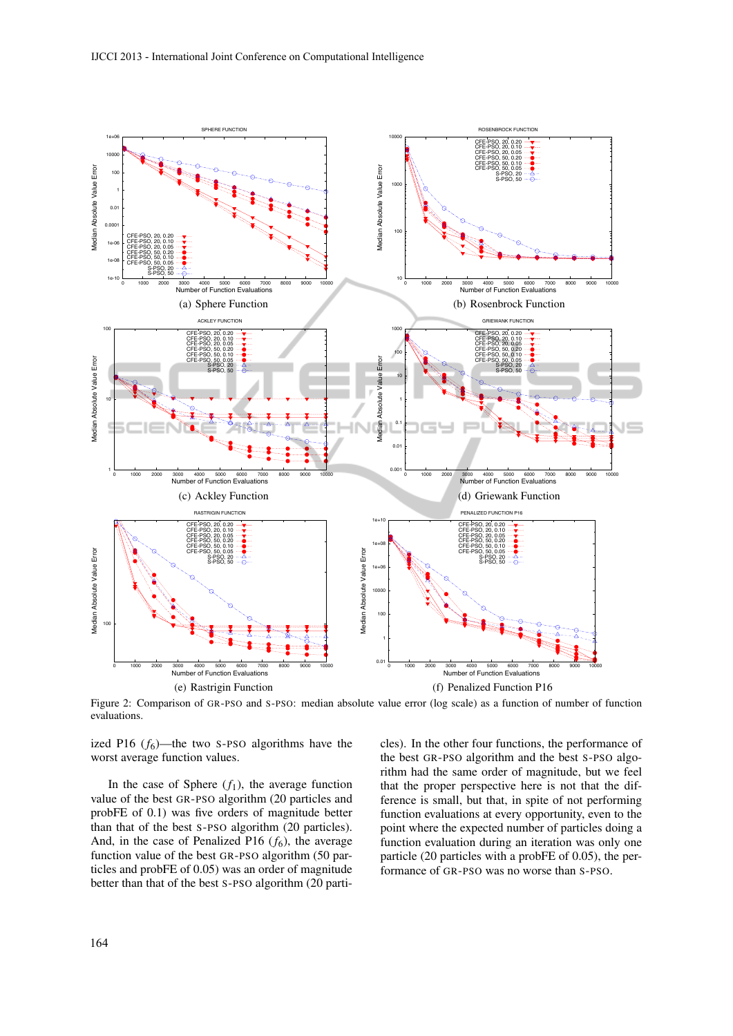

Figure 2: Comparison of GR-PSO and S-PSO: median absolute value error (log scale) as a function of number of function evaluations.

ized P16  $(f_6)$ —the two S-PSO algorithms have the worst average function values.

In the case of Sphere  $(f_1)$ , the average function value of the best GR-PSO algorithm (20 particles and probFE of 0.1) was five orders of magnitude better than that of the best S-PSO algorithm (20 particles). And, in the case of Penalized P16  $(f_6)$ , the average function value of the best GR-PSO algorithm (50 particles and probFE of 0.05) was an order of magnitude better than that of the best S-PSO algorithm (20 particles). In the other four functions, the performance of the best GR-PSO algorithm and the best S-PSO algorithm had the same order of magnitude, but we feel that the proper perspective here is not that the difference is small, but that, in spite of not performing function evaluations at every opportunity, even to the point where the expected number of particles doing a function evaluation during an iteration was only one particle (20 particles with a probFE of 0.05), the performance of GR-PSO was no worse than S-PSO.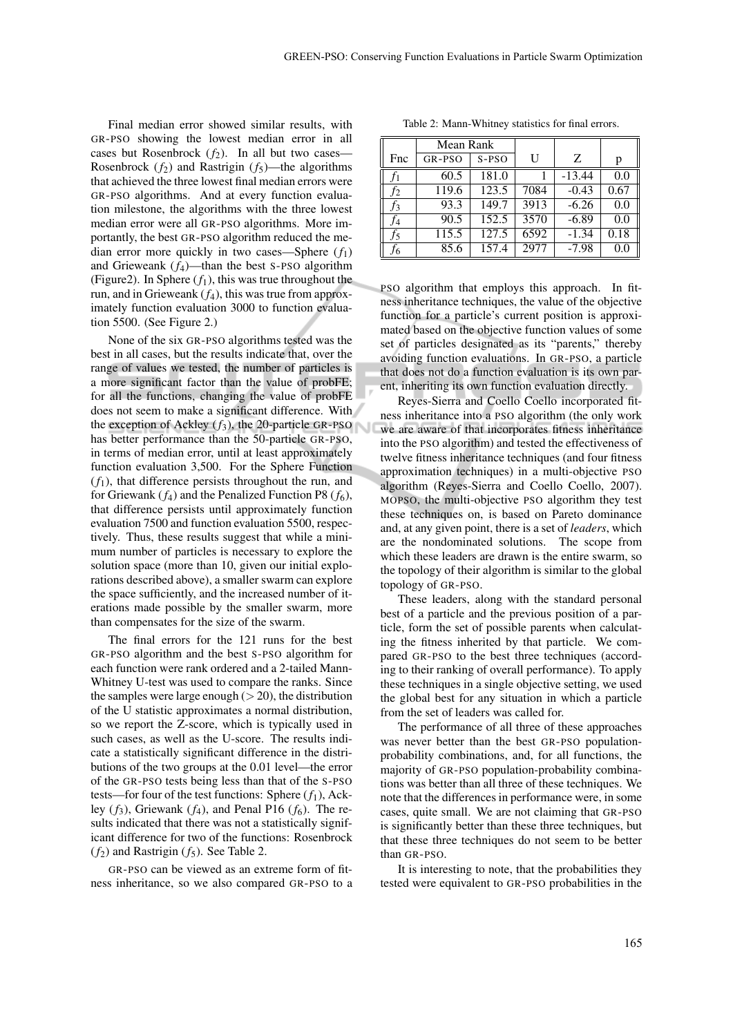Final median error showed similar results, with GR-PSO showing the lowest median error in all cases but Rosenbrock  $(f_2)$ . In all but two cases— Rosenbrock  $(f_2)$  and Rastrigin  $(f_5)$ —the algorithms that achieved the three lowest final median errors were GR-PSO algorithms. And at every function evaluation milestone, the algorithms with the three lowest median error were all GR-PSO algorithms. More importantly, the best GR-PSO algorithm reduced the median error more quickly in two cases—Sphere (*f*1) and Grieweank  $(f_4)$ —than the best S-PSO algorithm (Figure2). In Sphere  $(f_1)$ , this was true throughout the run, and in Grieweank (*f*4), this was true from approximately function evaluation 3000 to function evaluation 5500. (See Figure 2.)

None of the six GR-PSO algorithms tested was the best in all cases, but the results indicate that, over the range of values we tested, the number of particles is a more significant factor than the value of probFE; for all the functions, changing the value of probFE does not seem to make a significant difference. With the exception of Ackley  $(f_3)$ , the 20-particle GR-PSO has better performance than the 50-particle GR-PSO, in terms of median error, until at least approximately function evaluation 3,500. For the Sphere Function  $(f_1)$ , that difference persists throughout the run, and for Griewank (*f*4) and the Penalized Function P8 (*f*6), that difference persists until approximately function evaluation 7500 and function evaluation 5500, respectively. Thus, these results suggest that while a minimum number of particles is necessary to explore the solution space (more than 10, given our initial explorations described above), a smaller swarm can explore the space sufficiently, and the increased number of iterations made possible by the smaller swarm, more than compensates for the size of the swarm.

The final errors for the 121 runs for the best GR-PSO algorithm and the best S-PSO algorithm for each function were rank ordered and a 2-tailed Mann-Whitney U-test was used to compare the ranks. Since the samples were large enough  $(> 20)$ , the distribution of the U statistic approximates a normal distribution, so we report the Z-score, which is typically used in such cases, as well as the U-score. The results indicate a statistically significant difference in the distributions of the two groups at the 0.01 level—the error of the GR-PSO tests being less than that of the S-PSO tests—for four of the test functions: Sphere  $(f_1)$ , Ackley  $(f_3)$ , Griewank  $(f_4)$ , and Penal P16  $(f_6)$ . The results indicated that there was not a statistically significant difference for two of the functions: Rosenbrock  $(f_2)$  and Rastrigin  $(f_5)$ . See Table 2.

GR-PSO can be viewed as an extreme form of fitness inheritance, so we also compared GR-PSO to a

Table 2: Mann-Whitney statistics for final errors.

|                | Mean Rank |         |      |          |      |
|----------------|-----------|---------|------|----------|------|
| Fnc            | GR-PSO    | $S-PSO$ | U    | Z        | p    |
| $f_1$          | 60.5      | 181.0   |      | $-13.44$ | 0.0  |
| $f_2$          | 119.6     | 123.5   | 7084 | $-0.43$  | 0.67 |
| $f_3$          | 93.3      | 149.7   | 3913 | $-6.26$  | 0.0  |
| f4             | 90.5      | 152.5   | 3570 | $-6.89$  | 0.0  |
| $f_5$          | 115.5     | 127.5   | 6592 | $-1.34$  | 0.18 |
| f <sub>6</sub> | 85.6      | 157.4   | 2977 | $-7.98$  | 0.0  |

PSO algorithm that employs this approach. In fitness inheritance techniques, the value of the objective function for a particle's current position is approximated based on the objective function values of some set of particles designated as its "parents," thereby avoiding function evaluations. In GR-PSO, a particle that does not do a function evaluation is its own parent, inheriting its own function evaluation directly.

Reyes-Sierra and Coello Coello incorporated fitness inheritance into a PSO algorithm (the only work we are aware of that incorporates fitness inheritance into the PSO algorithm) and tested the effectiveness of twelve fitness inheritance techniques (and four fitness approximation techniques) in a multi-objective PSO algorithm (Reyes-Sierra and Coello Coello, 2007). MOPSO, the multi-objective PSO algorithm they test these techniques on, is based on Pareto dominance and, at any given point, there is a set of *leaders*, which are the nondominated solutions. The scope from which these leaders are drawn is the entire swarm, so the topology of their algorithm is similar to the global topology of GR-PSO.

These leaders, along with the standard personal best of a particle and the previous position of a particle, form the set of possible parents when calculating the fitness inherited by that particle. We compared GR-PSO to the best three techniques (according to their ranking of overall performance). To apply these techniques in a single objective setting, we used the global best for any situation in which a particle from the set of leaders was called for.

The performance of all three of these approaches was never better than the best GR-PSO populationprobability combinations, and, for all functions, the majority of GR-PSO population-probability combinations was better than all three of these techniques. We note that the differences in performance were, in some cases, quite small. We are not claiming that GR-PSO is significantly better than these three techniques, but that these three techniques do not seem to be better than GR-PSO.

It is interesting to note, that the probabilities they tested were equivalent to GR-PSO probabilities in the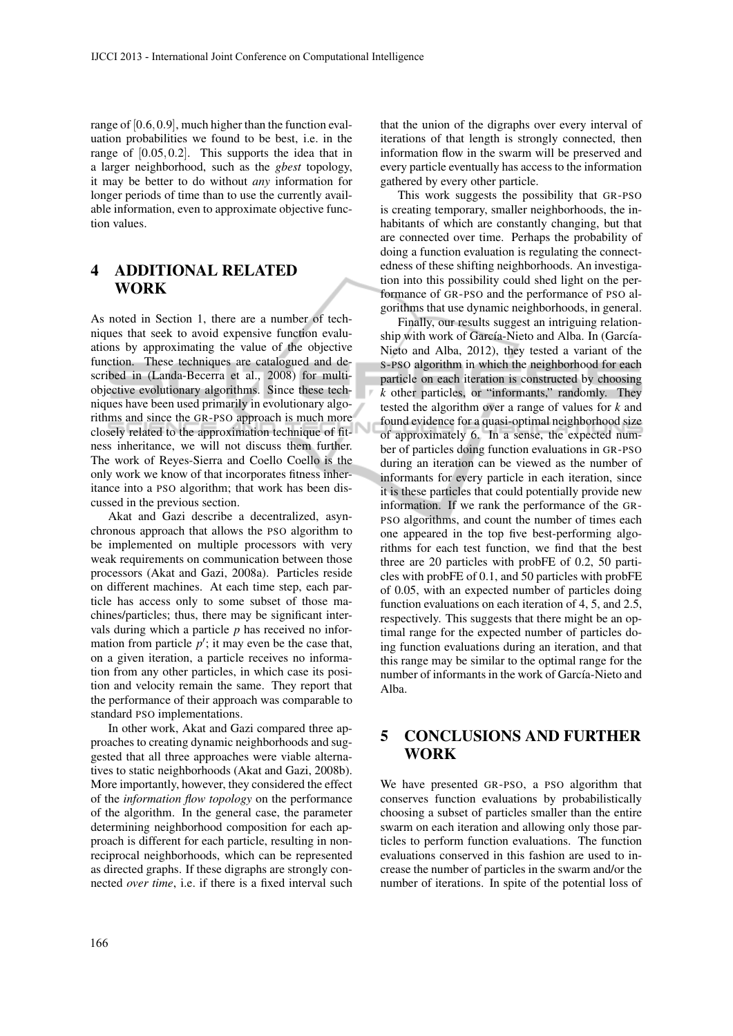range of  $[0.6, 0.9]$ , much higher than the function evaluation probabilities we found to be best, i.e. in the range of [0.05,0.2]. This supports the idea that in a larger neighborhood, such as the *gbest* topology, it may be better to do without *any* information for longer periods of time than to use the currently available information, even to approximate objective function values.

## 4 ADDITIONAL RELATED WORK

As noted in Section 1, there are a number of techniques that seek to avoid expensive function evaluations by approximating the value of the objective function. These techniques are catalogued and described in (Landa-Becerra et al., 2008) for multiobjective evolutionary algorithms. Since these techniques have been used primarily in evolutionary algorithms and since the GR-PSO approach is much more closely related to the approximation technique of fitness inheritance, we will not discuss them further. The work of Reyes-Sierra and Coello Coello is the only work we know of that incorporates fitness inheritance into a PSO algorithm; that work has been discussed in the previous section.

Akat and Gazi describe a decentralized, asynchronous approach that allows the PSO algorithm to be implemented on multiple processors with very weak requirements on communication between those processors (Akat and Gazi, 2008a). Particles reside on different machines. At each time step, each particle has access only to some subset of those machines/particles; thus, there may be significant intervals during which a particle *p* has received no information from particle  $p'$ ; it may even be the case that, on a given iteration, a particle receives no information from any other particles, in which case its position and velocity remain the same. They report that the performance of their approach was comparable to standard PSO implementations.

In other work, Akat and Gazi compared three approaches to creating dynamic neighborhoods and suggested that all three approaches were viable alternatives to static neighborhoods (Akat and Gazi, 2008b). More importantly, however, they considered the effect of the *information flow topology* on the performance of the algorithm. In the general case, the parameter determining neighborhood composition for each approach is different for each particle, resulting in nonreciprocal neighborhoods, which can be represented as directed graphs. If these digraphs are strongly connected *over time*, i.e. if there is a fixed interval such

that the union of the digraphs over every interval of iterations of that length is strongly connected, then information flow in the swarm will be preserved and every particle eventually has access to the information gathered by every other particle.

This work suggests the possibility that GR-PSO is creating temporary, smaller neighborhoods, the inhabitants of which are constantly changing, but that are connected over time. Perhaps the probability of doing a function evaluation is regulating the connectedness of these shifting neighborhoods. An investigation into this possibility could shed light on the performance of GR-PSO and the performance of PSO algorithms that use dynamic neighborhoods, in general.

Finally, our results suggest an intriguing relationship with work of García-Nieto and Alba. In (García-Nieto and Alba, 2012), they tested a variant of the S-PSO algorithm in which the neighborhood for each particle on each iteration is constructed by choosing *k* other particles, or "informants," randomly. They tested the algorithm over a range of values for *k* and found evidence for a quasi-optimal neighborhood size of approximately 6. In a sense, the expected number of particles doing function evaluations in GR-PSO during an iteration can be viewed as the number of informants for every particle in each iteration, since it is these particles that could potentially provide new information. If we rank the performance of the GR-PSO algorithms, and count the number of times each one appeared in the top five best-performing algorithms for each test function, we find that the best three are 20 particles with probFE of 0.2, 50 particles with probFE of 0.1, and 50 particles with probFE of 0.05, with an expected number of particles doing function evaluations on each iteration of 4, 5, and 2.5, respectively. This suggests that there might be an optimal range for the expected number of particles doing function evaluations during an iteration, and that this range may be similar to the optimal range for the number of informants in the work of García-Nieto and Alba.

## 5 CONCLUSIONS AND FURTHER **WORK**

We have presented GR-PSO, a PSO algorithm that conserves function evaluations by probabilistically choosing a subset of particles smaller than the entire swarm on each iteration and allowing only those particles to perform function evaluations. The function evaluations conserved in this fashion are used to increase the number of particles in the swarm and/or the number of iterations. In spite of the potential loss of